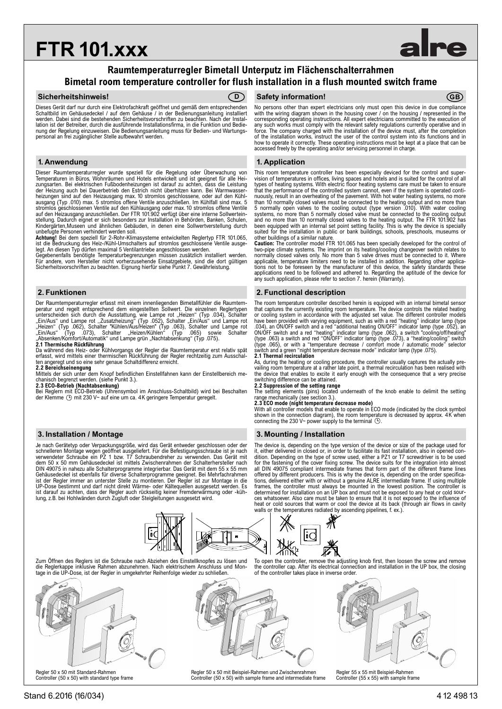# **FTR 101.xxx**

# **Raumtemperaturregler Bimetall Unterputz im Flächenschalterrahmen Bimetal room temperature controller for flush installation in a flush mounted switch frame**

### **Sicherheitshinweis! CD**



Dieses Gerät darf nur durch eine Elektrofachkraft geöffnet und gemäß dem entsprechenden Schaltbild im Gehäusedeckel / auf dem Gehäuse / in der Bedienungsanleitung installiert werden. Dabei sind die bestehenden Sicherheitsvorschriften zu beachten. Nach der Installation ist der Betreiber, durch die ausführende Installationsfirma, in die Funktion und Bedienung der Regelung einzuweisen. Die Bedienungsanleitung muss für Bedien- und Wartungspersonal an frei zugänglicher Stelle aufbewahrt werden.

Dieser Raumtemperaturregler wurde speziell für die Regelung oder Überwachung von Temperaturen in Büros, Wohnräumen und Hotels entwickelt und ist geeignet für alle Heizungsarten. Bei elektrischen Fußbodenheizungen ist darauf zu achten, dass die Leistung der Heizung auch bei Dauerbetrieb den Estrich nicht überhitzen kann. Bei Warmwasser-heizungen sind auf den Heizausgang max. 10 stromlos geschlossene, oder auf den Kühlausgang (Typ .010) max. 5 stromlos offene Ventile anzuschließen. Im Kühlfall sind max. 5<br>stromlos geschlossenen Ventile auf den Kühlausgang oder max. 10 stromlos offene Ventile<br>auf den Heizausgang anzuschließen. Der FTR 10 Kindergärten,Museen und ähnlichen Gebäuden, in denen eine Sollwertverstellung durch unbefugte Personen verhindert werden soll.

**Achtung!** Bei dem speziell für 2-Rohr-Klimasysteme entwickelten Reglertyp FTR 101.065, ist die Bedruckung des Heiz-/Kühl-Umschalters auf stromlos geschlossene Ventile ausge-

legt. An diesen Typ dürfen maximal 5 Ventilantriebe angeschlossen werden. Gegebenenfalls benötigte Temperaturbegrenzungen müssen zusätzlich installiert werden. Für andere, vom Hersteller nicht vorherzusehende Einsatzgebiete, sind die dort gültigen Sicherheitsvorschriften zu beachten. Eignung hierfür siehe Punkt 7. Gewährleistung.

Der Raumtemperaturregler erfasst mit einem innenliegenden Bimetallfühler die Raumtemperatur und regelt entsprechend dem eingestellten Sollwert. Die einzelnen Reglertypen<br>unterscheiden sich durch die Ausstattung, wie Lampe rot "Heizen" (Typ .034), Schalter "Ein/Aus" und Lampe rot<br>"Ein/Aus" und Lampe rot "Z

**2.1 Thermische Rückführung**<br>Da während des Heiz- oder Kühlvorgangs der Regler die Raumtemperatur erst relativ spät<br>erfasst, wird mittels einer thermischen Rückführung der Regler rechtzeitig zum Ausschalten angeregt und so eine sehr genaue Schaltdifferenz erreicht.

**2.2 Bereichseinengung** Mittels der sich unter dem Knopf befindlichen Einstellfahnen kann der Einstellbereich mechanisch begrenzt werden. (siehe Punkt 3.). **2.3 ECO-Betrieb (Nachtabsenkung)**

Bei Reglern mit ECO-Betrieb (Uhrensymbol im Anschluss-Schaltbild) wird bei Beschalten der Klemme mit 230 V~ auf eine um ca. 4K geringere Temperatur geregelt.

Je nach Gerätetyp oder Verpackungsgröße, wird das Gerät entweder geschlossen oder der schnelleren Montage wegen geöffnet ausgeliefert. Für die Befestigungsschraube ist je nach verwendeter Schraube ein PZ 1 bzw. T7 Schraubendreher zu verwenden. Das Gerät mit dem 50 x 50 mm Gehäusedeckel ist mittels Zwischenrahmen der Schalterhersteller nach DIN 49075 in nahezu alle Schalterprogramme integrierbar. Das Gerät mit dem 55 x 55 mm<br>Gehäusedeckel ist ebenfalls für diverse Schalterprogramme geeignet. Bei Mehrfachrahmen<br>ist der Regler immer an unterster Stelle zu monti UP-Dose bestimmt und darf nicht direkt Wärme- oder Kältequellen ausgesetzt werden. Es ist darauf zu achten, dass der Regler auch rückseitig keiner Fremderwärmung oder -küh-lung, z.B. bei Hohlwänden durch Zugluft oder Steigleitungen ausgesetzt wird.

## **D CB GB GB GB GB GB GB**

No persons other than expert electricians only must open this device in due compliance with the wiring diagram shown in the housing cover / on the housing / represented in the corresponding operating instructions. All expert electricians committed to the execution of any such works must comply with the relevant safety regulations currently operative and in force. The company charged with the installation of the device must, after the completion<br>of the installation works, instruct the user of the control system into its functions and in<br>how to operate it correctly. These oper accessed freely by the operating and/or servicing personnel in charge.

### **1. Anwendung 1. Application**

This room temperature controller has been especially deviced for the control and supervision of temperatures in offices, living spaces and hotels and is suited for the control of all types of heating systems. With electric floor heating systems care must be taken to ensure that the performance of the controlled system cannot, even if the system is operated conti-nuously, result in an overheating of the pavement. With hot water heating systems, no more than 10 normally closed valves must be connected to the heating output and no more than 5 normally open valves to the cooling output (type version .010). With water cooling systems, no more than 5 normally closed valve must be connected to the cooling output<br>and no more than 10 normally closed valves to the heating output. The FTR 101.902 has<br>been equipped with an internal set point setting f

other buildings of a similar nature. **Caution:** The controller model FTR 101.065 has been specially developed for the control of two-pipe climate systems. The imprint on its heating/cooling changeover switch relates to normally closed valves only. No more than 5 valve drives must be connected to it. Where applicable, temperature limiters need to be installed in addition. Regarding other applica-tions not to be foreseen by the manufacturer of this device, the safety standards these applications need to be followed and adhered to. Regarding the aptitude of the device for any such application, please refer to section 7. herein (Warranty).

### **2. Funktionen 2. Functional description**

The room temperature controller described herein is equipped with an internal bimetal sensor that captures the currently existing room temperature. The device controls the related heating or cooling system in accordance with the adjusted set value. The different controller models have been provided with varying equipment, such as with a red "heating" indicator lamp (type .034), an ON/OFF switch and a red "additional heating ON/OFF" indicator lamp (type .062), an switch "CON/OFF" indicator lamp (typ **2.1 Thermal recirculation**

As, during the heating or cooling procedure, the controller usually captures the actually pre-<br>vailing room temperature at a rather late point, a thermal recirculation has been realised with<br>the device that enables to exci switching difference can be attained. **2.2 Suppression of the setting range**

The setting elements (pins) located underneath of the knob enable to delimit the setting range mechanically (see section 3.).

**2.3 ECO mode (night temperature decrease mode)** With all controller models that enable to operate in ECO mode (indicated by the clock symbol shown in the connection diagram), the room temperature is decreased by approx. 4K when<br>connecting the 230 V~ power supply to the terminal  $\bigcirc$ .

### **3. Installation / Montage 3. Mounting / Installation**

The device is, depending on the type version of the device or size of the package used for it, either delivered in closed or, in order to facilitate its fast installation, also in opened con-<br>dition. Depending on the type of screw used, either a P21 or T7 screwdriver is to be used<br>for the fastening of the cover all DIN 49075 compliant intermediate frames that form part of the different frame lines<br>offered by different producers. This is why the device is, depending on the order specifica-<br>tions, delivered either with or without a heat or cold sources that warm or cool the device at its back (through air flows in cavity walls or the temperatures radiated by ascending pipelines. f. ex.). the temperatures radiated by ascending pipelines, f. ex.)

To open the controller, remove the adjusting knob first, then loosen the screw and remove the controller cap. After its electrical connection and installation in the UP box, the closing



Zum Öffnen des Reglers ist die Schraube nach Abziehen des Einstellknopfes zu lösen und die Reglerkappe inklusive Rahmen abzunehmen. Nach elektrischem Anschluss und Montage in die UP-Dose, ist der Regler in umgekehrter Reihenfolge wieder zu schließen.



Controller (50 x 50) with standard type frame



Regler 50 x 50 mit Beispiel-Rahmen und Zwischenrahmen Controller (50 x 50) with sample frame and intermediate frame



Regler 55 x 55 mit Beispiel-Rahmen Controller (55 x 55) with sample frame